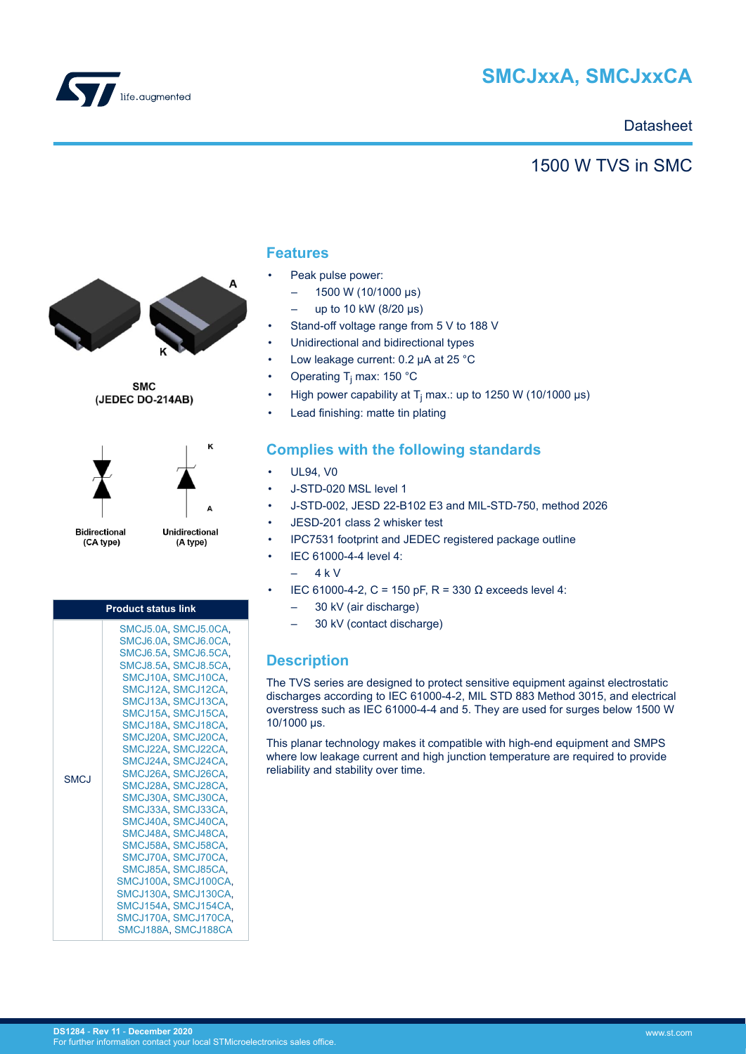

# **SMCJxxA, SMCJxxCA**

### **Datasheet**

## 1500 W TVS in SMC



**SMC** (JEDEC DO-214AB)



**Bidirectional** (CA type)

Unidirectional (A type)

ĸ

| <b>Product status link</b> |                                                                                                                                                                                                                                                                                                                                                                                                                                                                                                                                                                                                       |  |  |  |  |  |  |
|----------------------------|-------------------------------------------------------------------------------------------------------------------------------------------------------------------------------------------------------------------------------------------------------------------------------------------------------------------------------------------------------------------------------------------------------------------------------------------------------------------------------------------------------------------------------------------------------------------------------------------------------|--|--|--|--|--|--|
| <b>SMCJ</b>                | SMCJ5.0A. SMCJ5.0CA.<br>SMCJ6.0A, SMCJ6.0CA,<br>SMCJ6.5A, SMCJ6.5CA,<br>SMCJ8.5A. SMCJ8.5CA.<br>SMCJ10A, SMCJ10CA,<br>SMCJ12A SMCJ12CA.<br>SMCJ13A, SMCJ13CA,<br>SMCJ15A SMCJ15CA.<br>SMCJ18A SMCJ18CA.<br>SMCJ20A, SMCJ20CA,<br>SMCJ22A SMCJ22CA.<br>SMCJ24A, SMCJ24CA,<br>SMCJ26A, SMCJ26CA,<br>SMCJ28A, SMCJ28CA,<br>SMCJ30A, SMCJ30CA,<br>SMCJ33A, SMCJ33CA,<br>SMCJ40A, SMCJ40CA,<br>SMCJ48A, SMCJ48CA,<br>SMCJ58A, SMCJ58CA,<br>SMCJ70A, SMCJ70CA,<br>SMCJ85A, SMCJ85CA,<br>SMCJ100A, SMCJ100CA,<br>SMCJ130A, SMCJ130CA,<br>SMCJ154A, SMCJ154CA,<br>SMCJ170A, SMCJ170CA,<br>SMCJ188A, SMCJ188CA |  |  |  |  |  |  |

### **Features**

- Peak pulse power:
	- $-$  1500 W (10/1000 μs)
	- up to 10 kW (8/20 μs)
- Stand-off voltage range from 5 V to 188 V
- Unidirectional and bidirectional types
- Low leakage current: 0.2 µA at 25 °C
- Operating T<sub>j</sub> max: 150 °C
- High power capability at T<sub>j</sub> max.: up to 1250 W (10/1000 µs)
- Lead finishing: matte tin plating

## **Complies with the following standards**

- UL94, V0
- J-STD-020 MSL level 1
- J-STD-002, JESD 22-B102 E3 and MIL-STD-750, method 2026
- JESD-201 class 2 whisker test
- IPC7531 footprint and JEDEC registered package outline
- IEC 61000-4-4 level 4:
	- $-4 kV$
	- IEC 61000-4-2, C = 150 pF, R = 330 Ω exceeds level 4:
	- 30 kV (air discharge)
	- 30 kV (contact discharge)

### **Description**

The TVS series are designed to protect sensitive equipment against electrostatic discharges according to IEC 61000-4-2, MIL STD 883 Method 3015, and electrical overstress such as IEC 61000-4-4 and 5. They are used for surges below 1500 W 10/1000 μs.

This planar technology makes it compatible with high-end equipment and SMPS where low leakage current and high junction temperature are required to provide reliability and stability over time.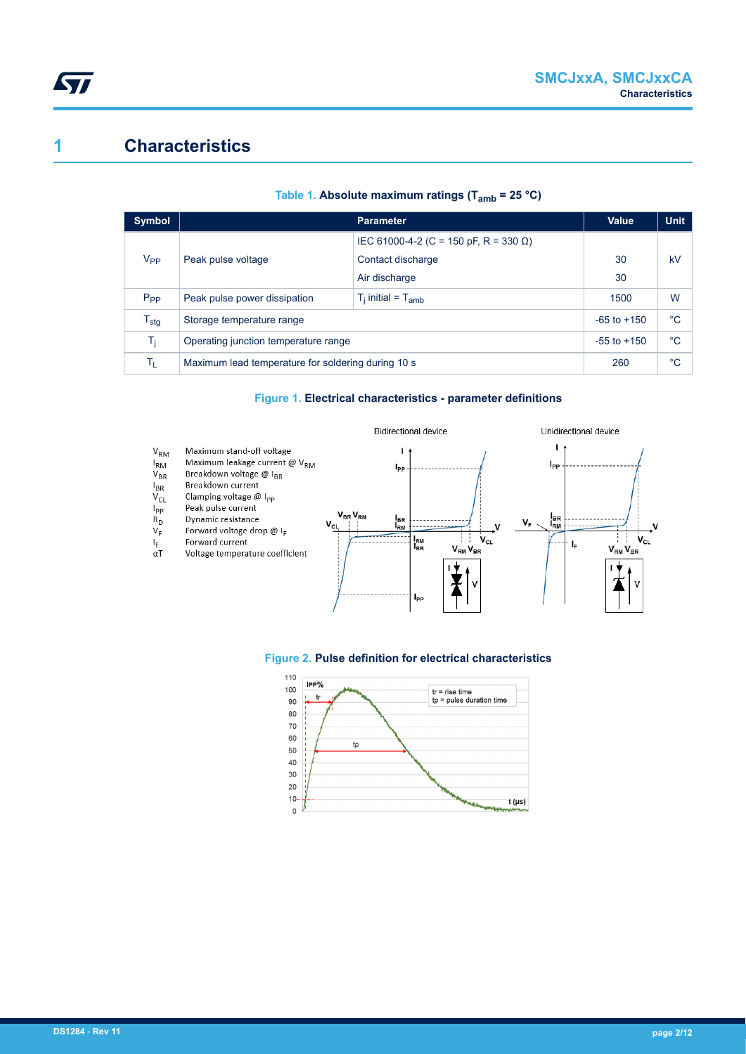## **1 Characteristics**

| Symbol           |                                                    | Value                                 | <b>Unit</b> |    |
|------------------|----------------------------------------------------|---------------------------------------|-------------|----|
|                  |                                                    | IEC 61000-4-2 (C = 150 pF, R = 330 Ω) |             |    |
| V <sub>PP</sub>  | Peak pulse voltage                                 | Contact discharge                     | 30          | kV |
|                  |                                                    | Air discharge                         | 30          |    |
| $P_{PP}$         | Peak pulse power dissipation                       | $T_i$ initial = $T_{amb}$             | 1500        | W  |
| $T_{\text{stg}}$ | Storage temperature range                          | $-65$ to $+150$                       | $^{\circ}C$ |    |
| T <sub>i</sub>   | Operating junction temperature range               | $-55$ to $+150$                       | $^{\circ}C$ |    |
| Tī.              | Maximum lead temperature for soldering during 10 s | 260                                   | $^{\circ}C$ |    |

#### **Table 1. Absolute maximum ratings (Tamb = 25 °C)**

#### **Figure 1. Electrical characteristics - parameter definitions**





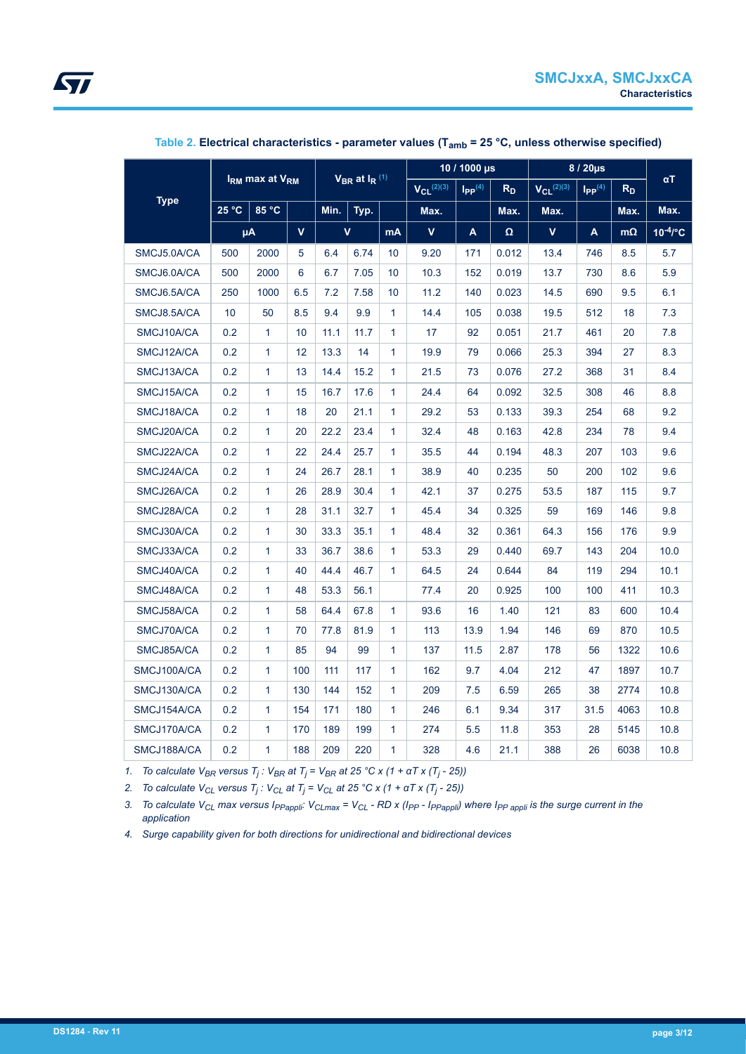<span id="page-2-0"></span>

|             | I <sub>RM</sub> max at V <sub>RM</sub> |              |                   | $V_{BR}$ at $I_R$ <sup>(1)</sup> |                         | $10/1000 \,\mathrm{ps}$          |                | 8 / 20µs          |                         |                | $\alpha T$ |           |               |
|-------------|----------------------------------------|--------------|-------------------|----------------------------------|-------------------------|----------------------------------|----------------|-------------------|-------------------------|----------------|------------|-----------|---------------|
|             |                                        |              | $V_{CL}^{(2)(3)}$ |                                  |                         | $\mathsf{I}_{\mathsf{PP}}^{(4)}$ | R <sub>D</sub> | $V_{Cl}^{(2)(3)}$ | $I_{PP}$ <sup>(4)</sup> | R <sub>D</sub> |            |           |               |
| <b>Type</b> | 25 °C                                  | 85 °C        |                   | Min.                             | Typ.                    |                                  | Max.           |                   | Max.                    | Max.           |            | Max.      | Max.          |
|             |                                        | μA           | $\mathbf{V}$      |                                  | $\overline{\mathsf{v}}$ | <b>mA</b>                        | $\mathbf v$    | A                 | $\Omega$                | V              | A          | $m\Omega$ | $10^{-4}$ /°C |
| SMCJ5.0A/CA | 500                                    | 2000         | 5                 | 6.4                              | 6.74                    | 10                               | 9.20           | 171               | 0.012                   | 13.4           | 746        | 8.5       | 5.7           |
| SMCJ6.0A/CA | 500                                    | 2000         | 6                 | 6.7                              | 7.05                    | 10                               | 10.3           | 152               | 0.019                   | 13.7           | 730        | 8.6       | 5.9           |
| SMCJ6.5A/CA | 250                                    | 1000         | 6.5               | 7.2                              | 7.58                    | 10                               | 11.2           | 140               | 0.023                   | 14.5           | 690        | 9.5       | 6.1           |
| SMCJ8.5A/CA | 10                                     | 50           | 8.5               | 9.4                              | 9.9                     | $\mathbf{1}$                     | 14.4           | 105               | 0.038                   | 19.5           | 512        | 18        | 7.3           |
| SMCJ10A/CA  | 0.2                                    | $\mathbf{1}$ | 10                | 11.1                             | 11.7                    | $\mathbf{1}$                     | 17             | 92                | 0.051                   | 21.7           | 461        | 20        | 7.8           |
| SMCJ12A/CA  | 0.2                                    | 1            | 12 <sup>2</sup>   | 13.3                             | 14                      | $\mathbf{1}$                     | 19.9           | 79                | 0.066                   | 25.3           | 394        | 27        | 8.3           |
| SMCJ13A/CA  | 0.2                                    | $\mathbf{1}$ | 13                | 14.4                             | 15.2                    | $\mathbf{1}$                     | 21.5           | 73                | 0.076                   | 27.2           | 368        | 31        | 8.4           |
| SMCJ15A/CA  | 0.2                                    | 1            | 15                | 16.7                             | 17.6                    | $\mathbf{1}$                     | 24.4           | 64                | 0.092                   | 32.5           | 308        | 46        | 8.8           |
| SMCJ18A/CA  | 0.2                                    | $\mathbf{1}$ | 18                | 20                               | 21.1                    | $\mathbf{1}$                     | 29.2           | 53                | 0.133                   | 39.3           | 254        | 68        | 9.2           |
| SMCJ20A/CA  | 0.2                                    | 1            | 20                | 22.2                             | 23.4                    | $\mathbf{1}$                     | 32.4           | 48                | 0.163                   | 42.8           | 234        | 78        | 9.4           |
| SMCJ22A/CA  | 0.2                                    | 1            | 22                | 24.4                             | 25.7                    | $\mathbf{1}$                     | 35.5           | 44                | 0.194                   | 48.3           | 207        | 103       | 9.6           |
| SMCJ24A/CA  | 0.2                                    | 1            | 24                | 26.7                             | 28.1                    | $\mathbf{1}$                     | 38.9           | 40                | 0.235                   | 50             | 200        | 102       | 9.6           |
| SMCJ26A/CA  | 0.2                                    | 1            | 26                | 28.9                             | 30.4                    | 1                                | 42.1           | 37                | 0.275                   | 53.5           | 187        | 115       | 9.7           |
| SMCJ28A/CA  | 0.2                                    | 1            | 28                | 31.1                             | 32.7                    | $\mathbf{1}$                     | 45.4           | 34                | 0.325                   | 59             | 169        | 146       | 9.8           |
| SMCJ30A/CA  | 0.2                                    | 1            | 30                | 33.3                             | 35.1                    | $\mathbf{1}$                     | 48.4           | 32                | 0.361                   | 64.3           | 156        | 176       | 9.9           |
| SMCJ33A/CA  | 0.2                                    | $\mathbf{1}$ | 33                | 36.7                             | 38.6                    | $\mathbf{1}$                     | 53.3           | 29                | 0.440                   | 69.7           | 143        | 204       | 10.0          |
| SMCJ40A/CA  | 0.2                                    | $\mathbf{1}$ | 40                | 44.4                             | 46.7                    | $\mathbf{1}$                     | 64.5           | 24                | 0.644                   | 84             | 119        | 294       | 10.1          |
| SMCJ48A/CA  | 0.2                                    | $\mathbf{1}$ | 48                | 53.3                             | 56.1                    |                                  | 77.4           | 20                | 0.925                   | 100            | 100        | 411       | 10.3          |
| SMCJ58A/CA  | 0.2                                    | $\mathbf{1}$ | 58                | 64.4                             | 67.8                    | $\mathbf{1}$                     | 93.6           | 16                | 1.40                    | 121            | 83         | 600       | 10.4          |
| SMCJ70A/CA  | 0.2                                    | $\mathbf{1}$ | 70                | 77.8                             | 81.9                    | $\mathbf{1}$                     | 113            | 13.9              | 1.94                    | 146            | 69         | 870       | 10.5          |
| SMCJ85A/CA  | 0.2                                    | 1            | 85                | 94                               | 99                      | $\mathbf{1}$                     | 137            | 11.5              | 2.87                    | 178            | 56         | 1322      | 10.6          |
| SMCJ100A/CA | 0.2                                    | 1.           | 100               | 111                              | 117                     | $\mathbf{1}$                     | 162            | 9.7               | 4.04                    | 212            | 47         | 1897      | 10.7          |
| SMCJ130A/CA | 0.2                                    | 1.           | 130               | 144                              | 152                     | $\mathbf{1}$                     | 209            | 7.5               | 6.59                    | 265            | 38         | 2774      | 10.8          |
| SMCJ154A/CA | 0.2                                    | 1            | 154               | 171                              | 180                     | $\mathbf{1}$                     | 246            | 6.1               | 9.34                    | 317            | 31.5       | 4063      | 10.8          |
| SMCJ170A/CA | 0.2                                    | 1.           | 170               | 189                              | 199                     | $\mathbf{1}$                     | 274            | 5.5               | 11.8                    | 353            | 28         | 5145      | 10.8          |
| SMCJ188A/CA | 0.2                                    | 1            | 188               | 209                              | 220                     | $\mathbf{1}$                     | 328            | 4.6               | 21.1                    | 388            | 26         | 6038      | 10.8          |

### **Table 2. Electrical characteristics - parameter values (Tamb = 25 °C, unless otherwise specified)**

*1. To calculate VBR versus T<sup>j</sup> : VBR at T<sup>j</sup> = VBR at 25 °C x (1 + αT x (T<sup>j</sup> - 25))*

*2. To calculate VCL versus T<sup>j</sup> : VCL at T<sup>j</sup> = VCL at 25 °C x (1 + αT x (T<sup>j</sup> - 25))*

3. To calculate V<sub>CL</sub> max versus I<sub>PPappli</sub>: V<sub>CLmax</sub> = V<sub>CL</sub> - RD x (I<sub>PP</sub> - I<sub>PPappli</sub>) where I<sub>PP appli</sub> is the surge current in the *application*

*4. Surge capability given for both directions for unidirectional and bidirectional devices*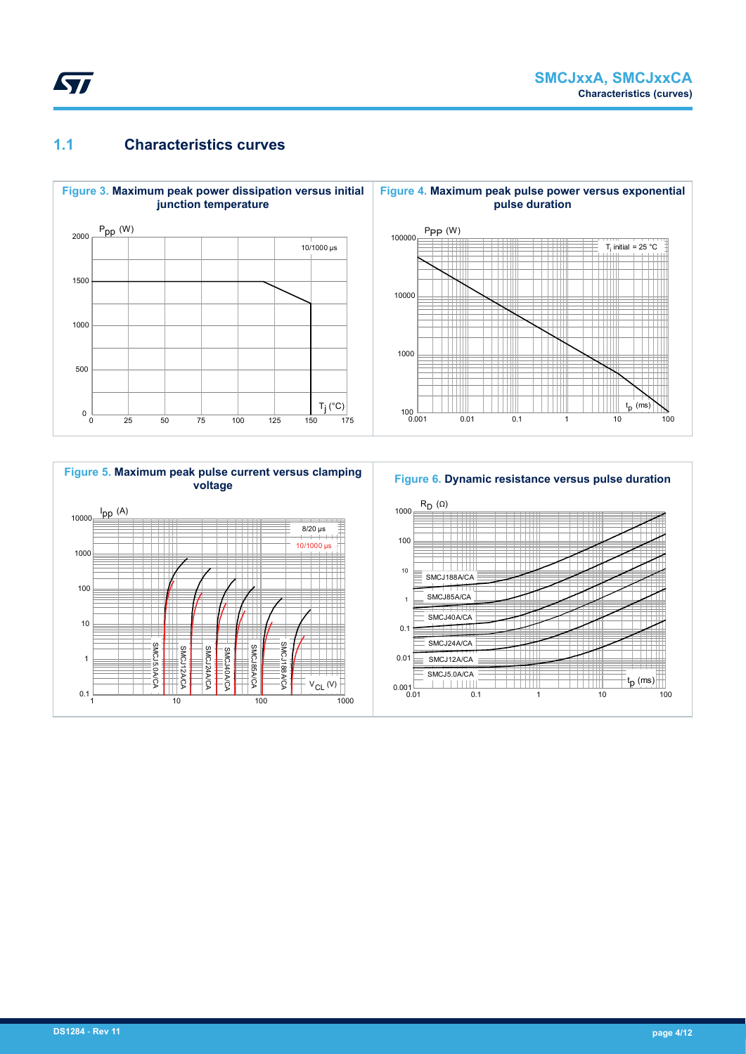<span id="page-3-0"></span>

## **1.1 Characteristics curves**





## **Figure 6. Dynamic resistance versus pulse duration**

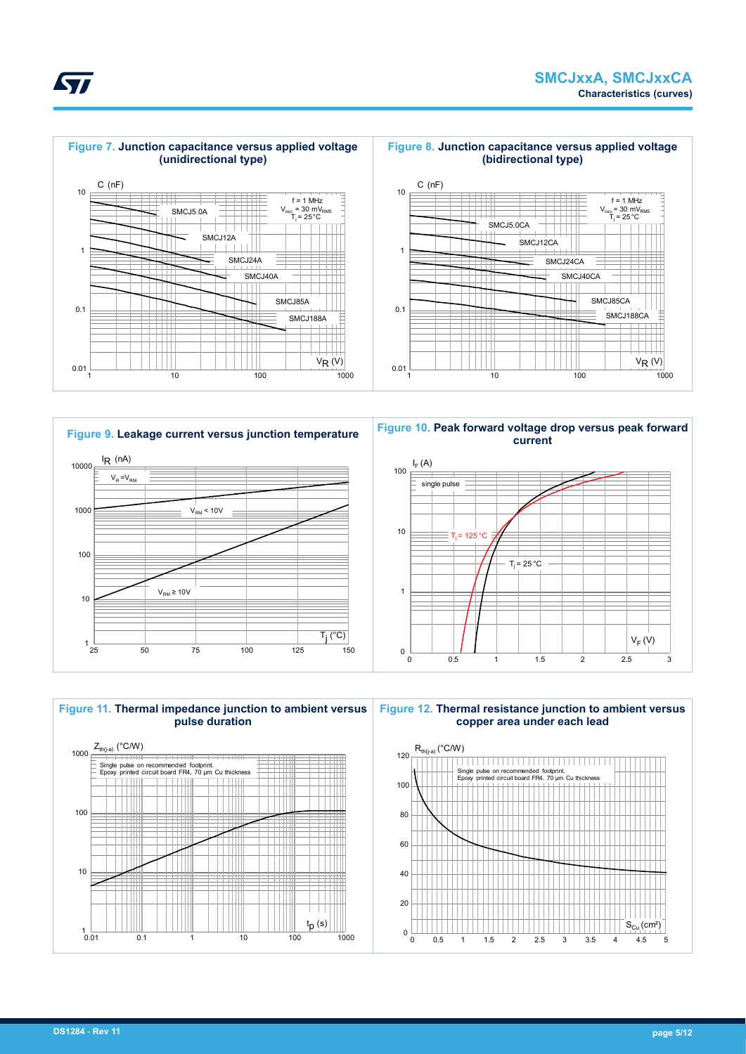





**Figure 9. Leakage current versus junction temperature**  $1\over{25}$ 10 100 1000 10000 25 50 75 100 125 150  $I_R$  (nA)  $\overline{T_i({}^{\circ}C)}$  $V_R = V_{RN}$  $V<sub>RM</sub> < 10V$  $V_{\text{RM}} \geq 10V$ 

**Figure 10. Peak forward voltage drop versus peak forward current**







**Figure 12. Thermal resistance junction to ambient versus copper area under each lead**

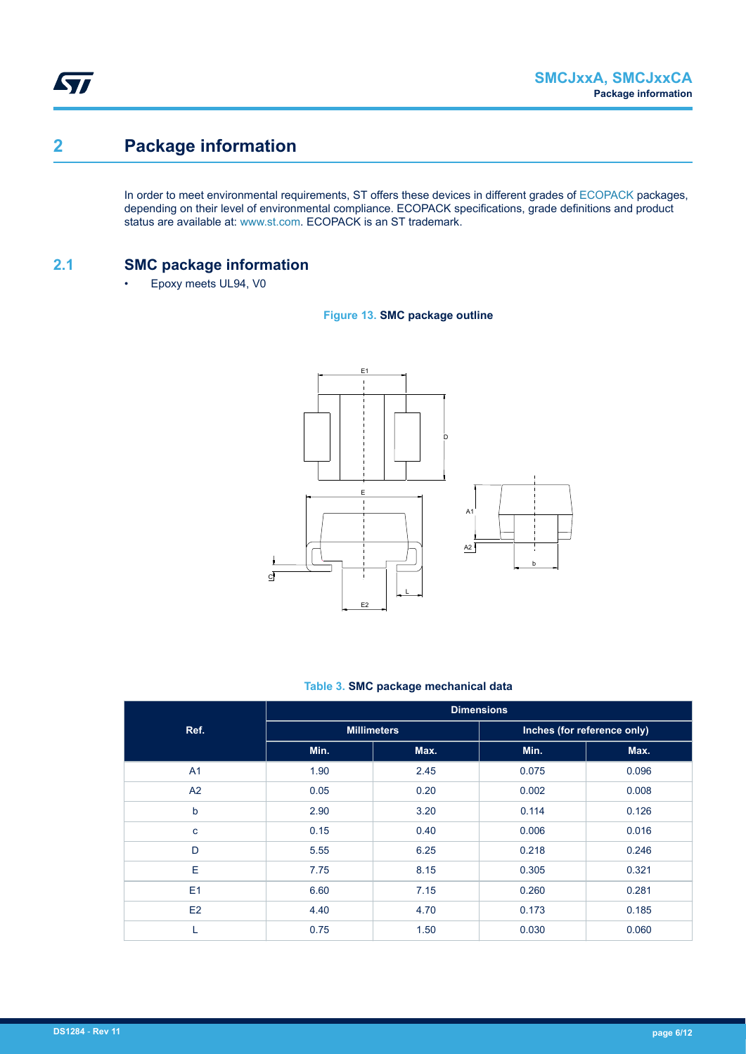## **2 Package information**

In order to meet environmental requirements, ST offers these devices in different grades of [ECOPACK](https://www.st.com/ecopack) packages, depending on their level of environmental compliance. ECOPACK specifications, grade definitions and product status are available at: [www.st.com.](http://www.st.com) ECOPACK is an ST trademark.

### **2.1 SMC package information**

• Epoxy meets UL94, V0





#### **Table 3. SMC package mechanical data**

|                | <b>Dimensions</b> |                    |                             |       |  |  |  |
|----------------|-------------------|--------------------|-----------------------------|-------|--|--|--|
| Ref.           |                   | <b>Millimeters</b> | Inches (for reference only) |       |  |  |  |
|                | Min.              | Max.               | Min.                        | Max.  |  |  |  |
| A <sub>1</sub> | 1.90              | 2.45               | 0.075                       | 0.096 |  |  |  |
| A2             | 0.05              | 0.20               | 0.002                       | 0.008 |  |  |  |
| $\mathsf{b}$   | 2.90              | 3.20               | 0.114                       | 0.126 |  |  |  |
| $\mathbf{C}$   | 0.15              | 0.40               | 0.006                       | 0.016 |  |  |  |
| D              | 5.55              | 6.25               | 0.218                       | 0.246 |  |  |  |
| E              | 7.75              | 8.15               | 0.305                       | 0.321 |  |  |  |
| E1             | 6.60              | 7.15               | 0.260                       | 0.281 |  |  |  |
| E2             | 4.40              | 4.70               | 0.173                       | 0.185 |  |  |  |
|                | 0.75              | 1.50               | 0.030                       | 0.060 |  |  |  |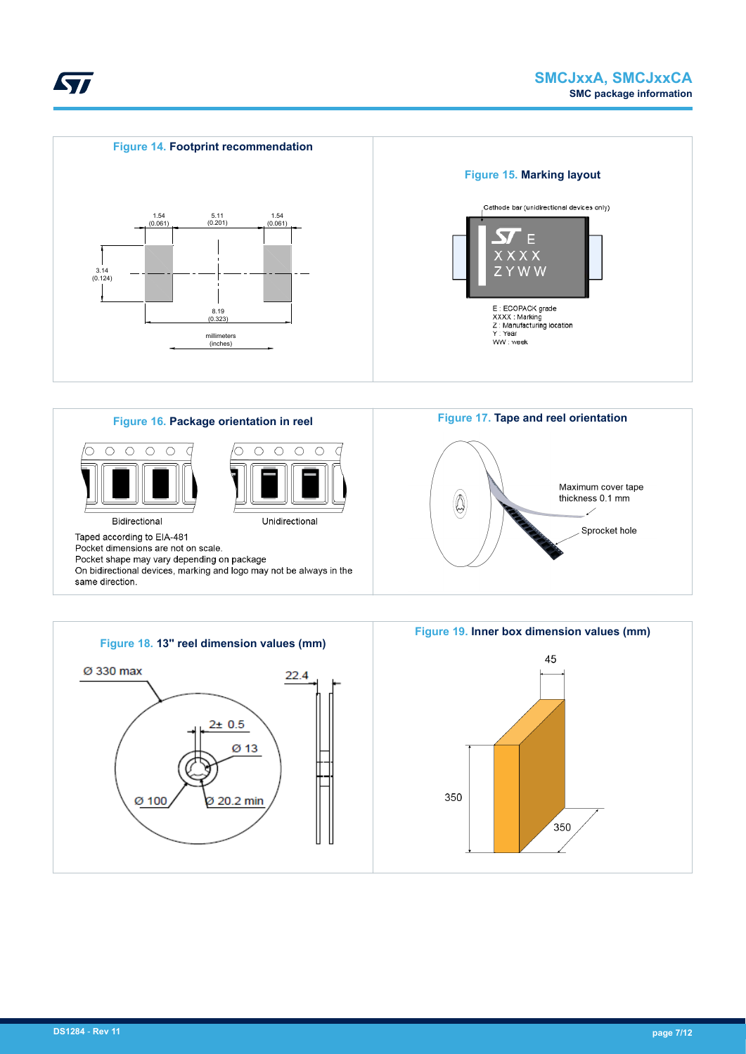





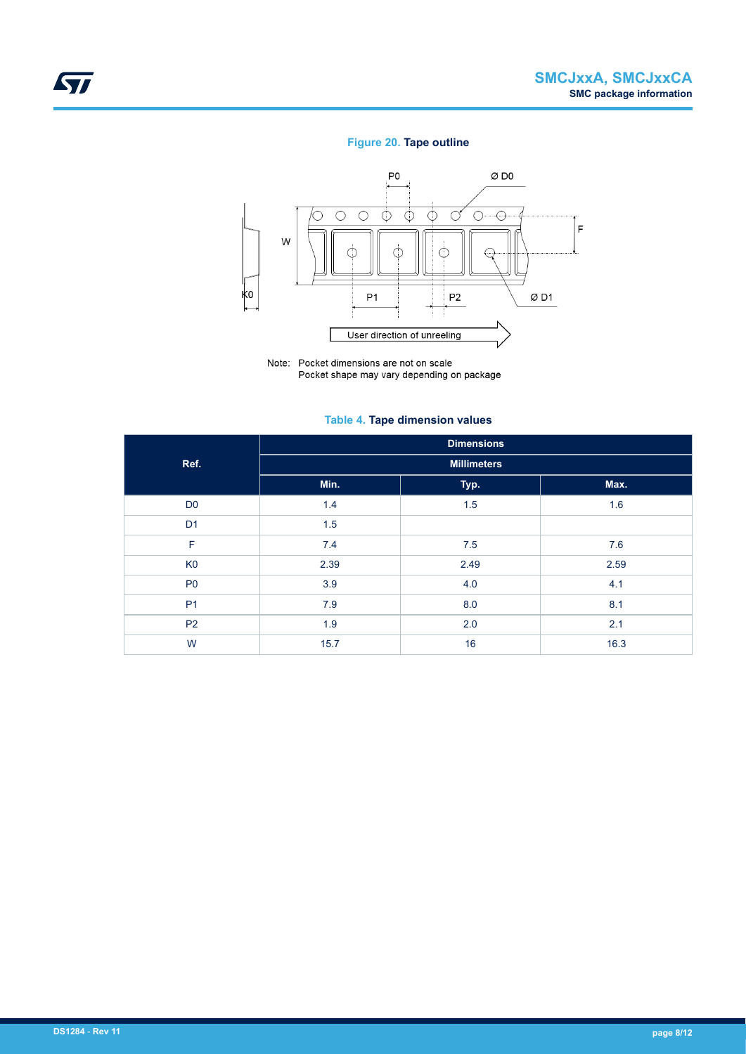### **Figure 20. Tape outline**



Note: Pocket dimensions are not on scale Pocket shape may vary depending on package

#### **Table 4. Tape dimension values**

|                | <b>Dimensions</b>  |      |      |  |  |  |  |  |
|----------------|--------------------|------|------|--|--|--|--|--|
| Ref.           | <b>Millimeters</b> |      |      |  |  |  |  |  |
|                | Min.               | Typ. | Max. |  |  |  |  |  |
| D <sub>0</sub> | 1.4                | 1.5  | 1.6  |  |  |  |  |  |
| D <sub>1</sub> | 1.5                |      |      |  |  |  |  |  |
| F              | 7.4                | 7.5  | 7.6  |  |  |  |  |  |
| K <sub>0</sub> | 2.39               | 2.49 | 2.59 |  |  |  |  |  |
| P <sub>0</sub> | 3.9                | 4.0  | 4.1  |  |  |  |  |  |
| P <sub>1</sub> | 7.9                | 8.0  | 8.1  |  |  |  |  |  |
| P <sub>2</sub> | 1.9                | 2.0  | 2.1  |  |  |  |  |  |
| W              | 15.7               | 16   | 16.3 |  |  |  |  |  |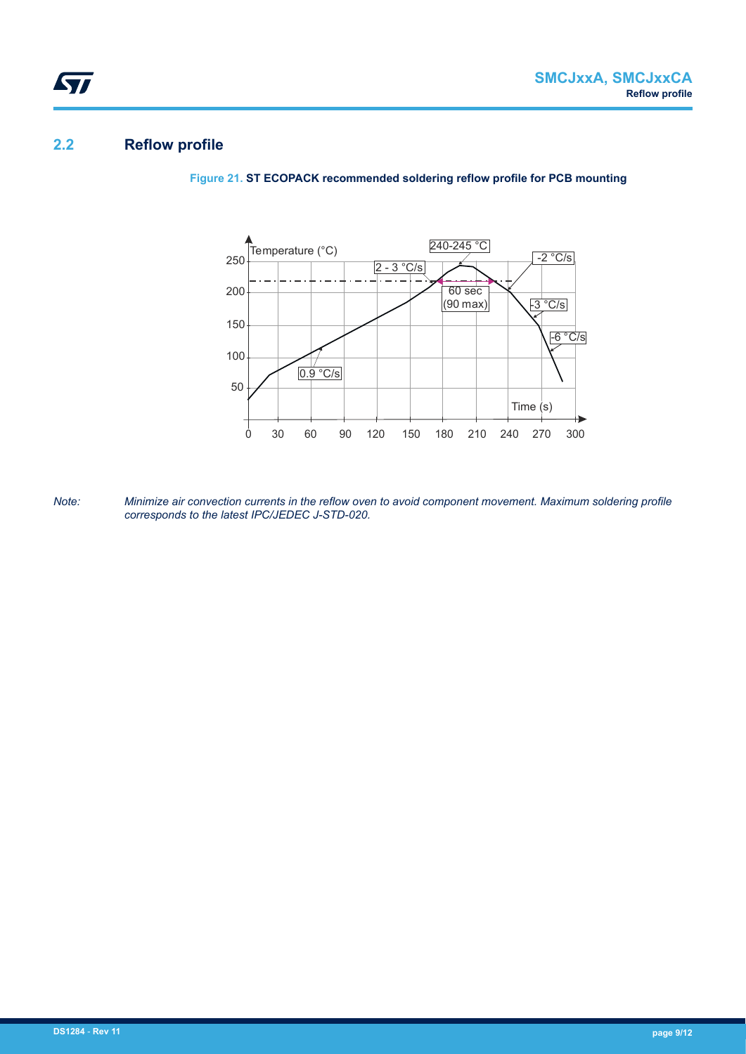## **2.2 Reflow profile**

ST

**Figure 21. ST ECOPACK recommended soldering reflow profile for PCB mounting**



*Note: Minimize air convection currents in the reflow oven to avoid component movement. Maximum soldering profile corresponds to the latest IPC/JEDEC J-STD-020.*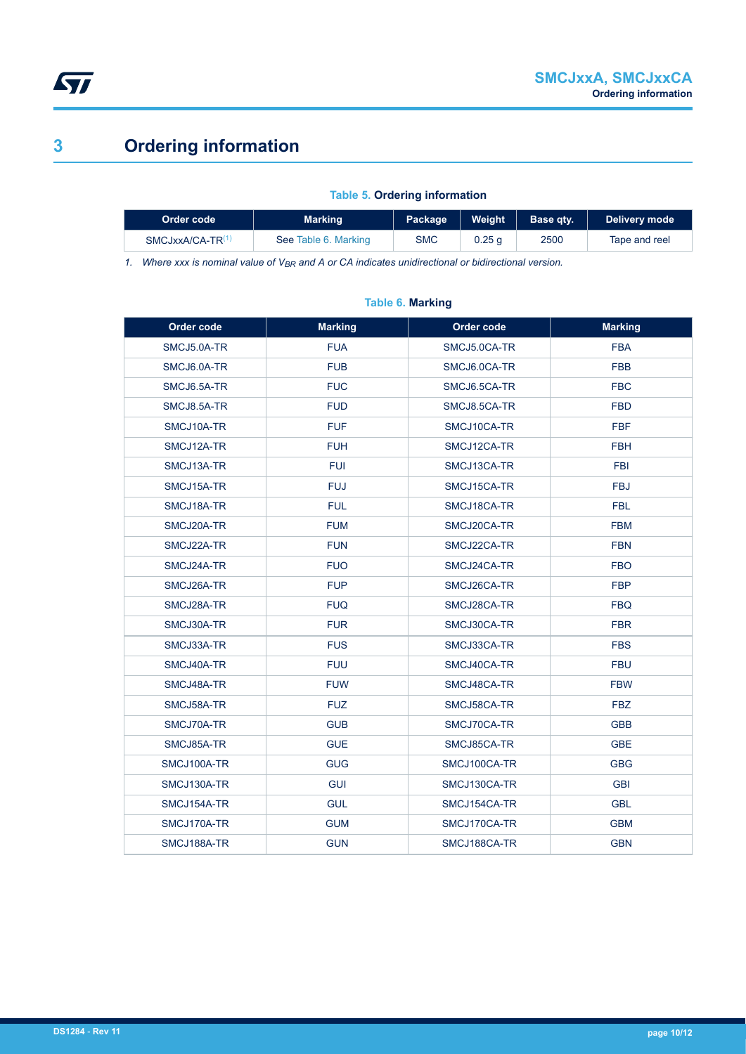

## **3 Ordering information**

#### **Table 5. Ordering information**

| Order code                   | <b>Marking</b>       | Weight<br>Package |        | Base atv. | Delivery mode |  |
|------------------------------|----------------------|-------------------|--------|-----------|---------------|--|
| SMCJxxA/CA-TR <sup>(1)</sup> | See Table 6. Marking | <b>SMC</b>        | 0.25 g | 2500      | Tape and reel |  |

*1. Where xxx is nominal value of VBR and A or CA indicates unidirectional or bidirectional version.*

## **Order code Marking Order code Marking** SMCJ5.0A-TR FUA SMCJ5.0CA-TR FBA SMCJ6.0A-TR FUB FUB SMCJ6.0CA-TR FBB SMCJ6.5A-TR FUC FUC SMCJ6.5CA-TR FBC SMCJ8.5A-TR FUD SMCJ8.5CA-TR FBD SMCJ10A-TR FUF FUR SMCJ10CA-TR FBF SMCJ12A-TR FUH FUH SMCJ12CA-TR FBH SMCJ13A-TR FUI FUI SMCJ13CA-TR FBI SMCJ15A-TR FUJ FUJ SMCJ15CA-TR FBJ SMCJ18A-TR FUL SMCJ18CA-TR FBL SMCJ20A-TR FUM SMCJ20CA-TR FBM SMCJ22A-TR FUN SMCJ22CA-TR FBN SMCJ24A-TR FUO SMCJ24CA-TR FBO SMCJ26A-TR FUP FUP SMCJ26CA-TR FBP SMCJ28A-TR FUQ SMCJ28CA-TR FBQ SMCJ30A-TR FUR SMCJ30CA-TR FBR SMCJ33A-TR FUS SMCJ33CA-TR FBS SMCJ40A-TR FUU SMCJ40CA-TR FBU SMCJ48A-TR FBW FUW SMCJ48CA-TR FBW SMCJ58A-TR FUZ FUZ SMCJ58CA-TR FBZ SMCJ70A-TR GUB SMCJ70CA-TR GBB SMCJ85A-TR GUE SMCJ85CA-TR GBE SMCJ100A-TR GUG SMCJ100CA-TR GBG SMCJ130A-TR GUI SMCJ130CA-TR GBI SMCJ154A-TR GUL SMCJ154CA-TR GBL SMCJ170A-TR GUM SMCJ170CA-TR GBM SMCJ188A-TR GUN SMCJ188CA-TR GBN

#### **Table 6. Marking**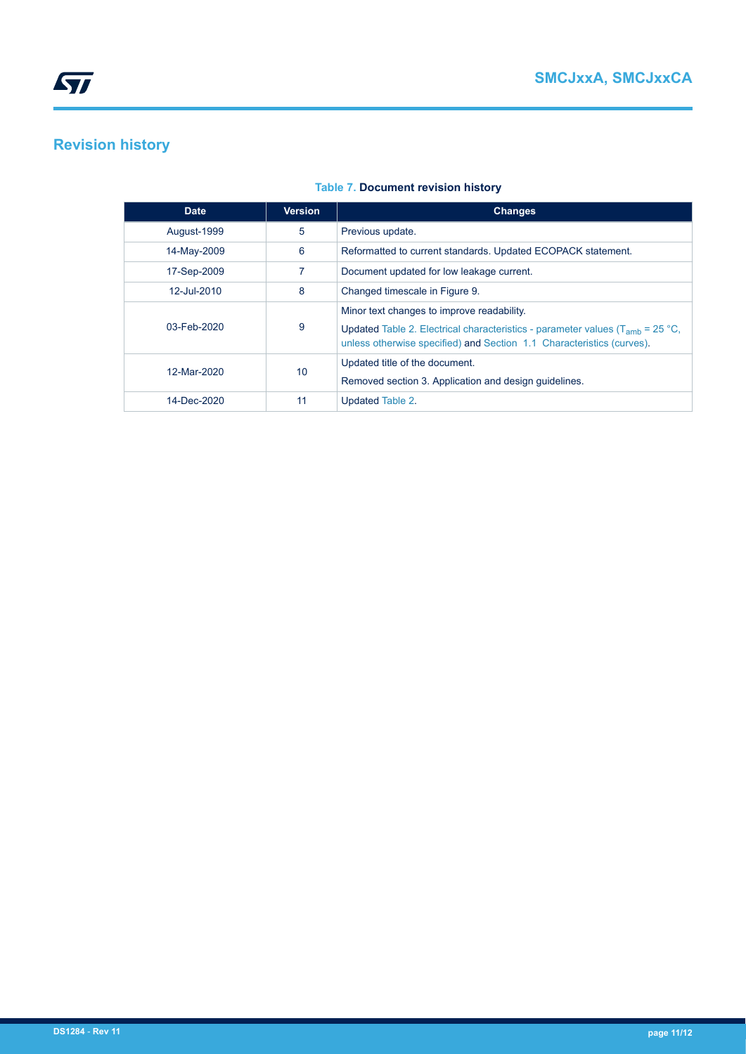## **Revision history**

| <b>Date</b> | <b>Version</b> | <b>Changes</b>                                                                                                                                                                                             |
|-------------|----------------|------------------------------------------------------------------------------------------------------------------------------------------------------------------------------------------------------------|
| August-1999 | 5              | Previous update.                                                                                                                                                                                           |
| 14-May-2009 | 6              | Reformatted to current standards. Updated ECOPACK statement.                                                                                                                                               |
| 17-Sep-2009 |                | Document updated for low leakage current.                                                                                                                                                                  |
| 12-Jul-2010 | 8              | Changed timescale in Figure 9.                                                                                                                                                                             |
| 03-Feb-2020 | 9              | Minor text changes to improve readability.<br>Updated Table 2. Electrical characteristics - parameter values ( $T_{amb}$ = 25 °C,<br>unless otherwise specified) and Section 1.1 Characteristics (curves). |
| 12-Mar-2020 | 10             | Updated title of the document.<br>Removed section 3. Application and design guidelines.                                                                                                                    |
| 14-Dec-2020 | 11             | Updated Table 2.                                                                                                                                                                                           |

### **Table 7. Document revision history**